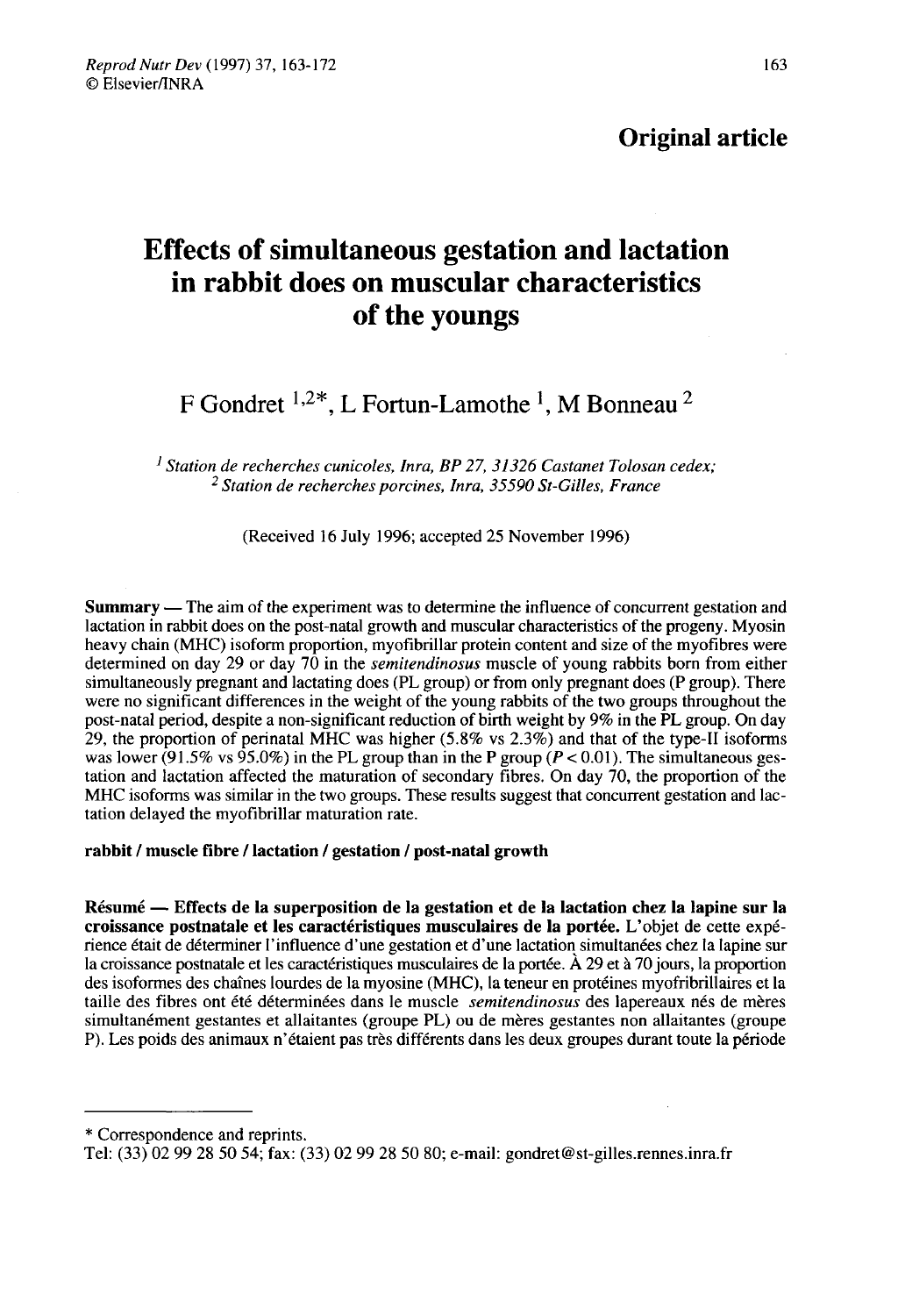Original article

# Effects of simultaneous gestation and lactation in rabbit does on muscular characteristics of the youngs

## F Gondret  $1,2^*$ , L Fortun-Lamothe <sup>1</sup>, M Bonneau <sup>2</sup>

<sup>1</sup> Station de recherches cunicoles, Inra, BP 27, 31326 Castanet Tolosan cedex;  $2$  Station de recherches porcines, Inra, 35590 St-Gilles, France

(Received 16 July 1996; accepted 25 November 1996)

**Summary** — The aim of the experiment was to determine the influence of concurrent gestation and lactation in rabbit does on the post-natal growth and muscular characteristics of the progeny. Myosin heavy chain (MHC) isoform proportion, myofibrillar protein content and size of the myofibres were determined on day 29 or day 70 in the *semitendinosus* muscle of young rabbits born from either simultaneously pregnant and lactating does (PL group) or from only pregnant does (P group). There were no significant differences in the weight of the young rabbits of the two groups throughout the post-natal period, despite a non-significant reduction of birth weight by 9% in the PL group. On day 29, the proportion of perinatal MHC was higher  $(5.8\%$  vs  $2.3\%$ ) and that of the type-II isoforms was lower (91.5% vs 95.0%) in the PL group than in the P group ( $P < 0.01$ ). The simultaneous gestation and lactation affected the maturation of secondary fibres. On day 70, the proportion of the MHC isoforms was similar in the two groups. These results suggest that concurrent gestation and lactation delayed the myofibrillar maturation rate.

#### rabbit / muscle fibre / lactation / gestation / post-natal growth

Résumé ― Effects de la superposition de la gestation et de la lactation chez la lapine sur la croissance postnatale et les caractéristiques musculaires de la portée. L'objet de cette expérience était de déterminer l'influence d'une gestation et d'une lactation simultanées chez la lapine sur la croissance postnatale et les caractéristiques musculaires de la portée. À 29 et à 70 jours, la proportion des isoformes des chaînes lourdes de la myosine (MHC), la teneur en protéines myofribrillaires et la taille des fibres ont été déterminées dans le muscle semitendinosus des lapereaux nés de mères simultanément gestantes et allaitantes (groupe PL) ou de mères gestantes non allaitantes (groupe P). Les poids des animaux n'étaient pas très différents dans les deux groupes durant toute la période

<sup>\*</sup> Correspondence and reprints.

Tel: (33) 02 99 28 50 54; fax: (33) 02 99 28 50 80; e-mail: gondret@st-gilles.rennes.inra.fr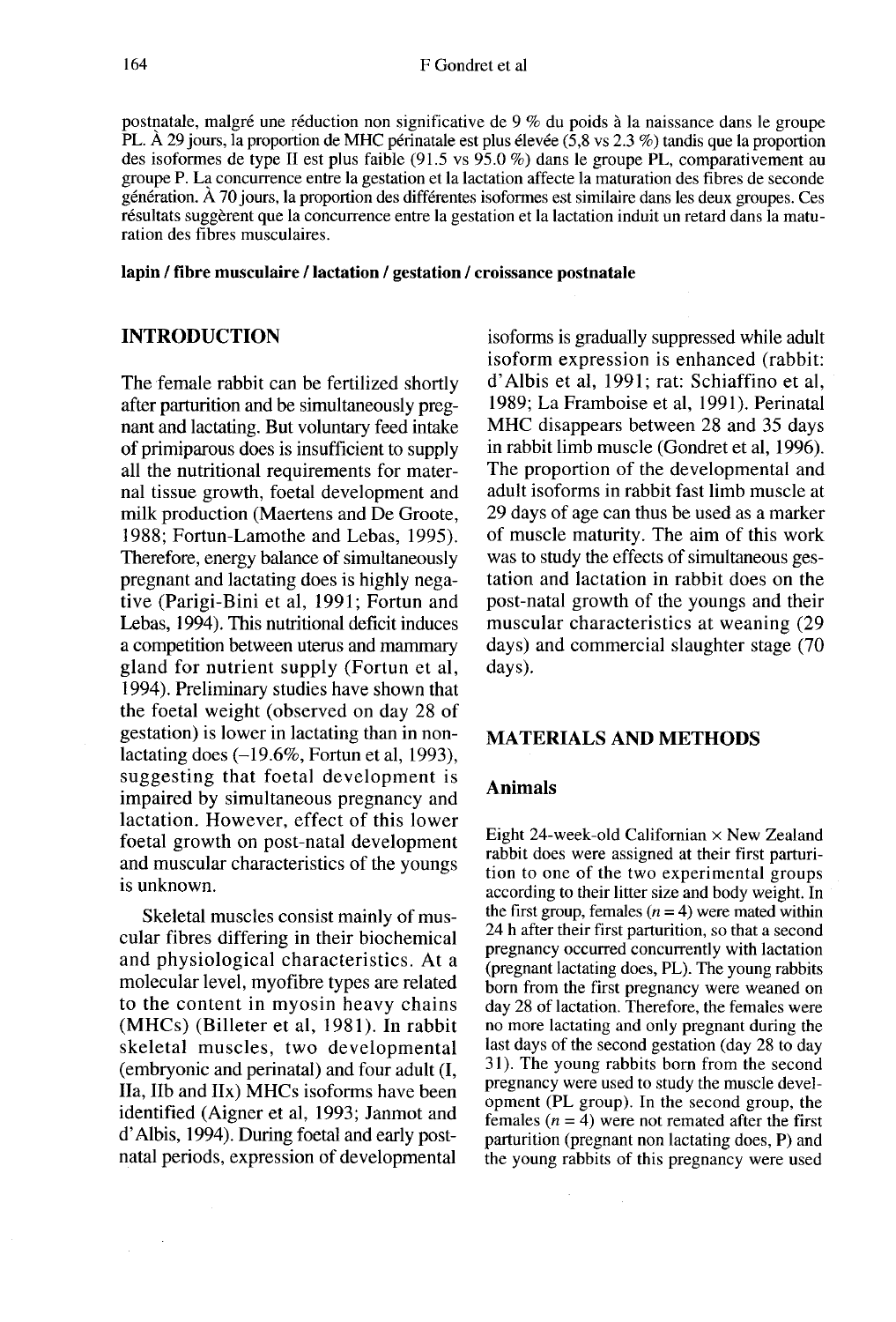postnatale, malgré une réduction non significative de 9 % du poids à la naissance dans le groupe PL. À 29 jours, la proportion de MHC périnatale est plus élevée (5,8 vs 2.3 %) tandis que la proportion des isoformes de type II est plus faible (91.5 vs 95.0 %) dans le groupe PL, comparativement au groupe P. La concurrence entre la gestation et la lactation affecte la maturation des fibres de seconde génération. À 70 jours, la proportion des différentes isoformes est similaire dans les deux groupes. Ces résultats suggèrent que la concurrence entre la gestation et la lactation induit un retard dans la maturation des fibres musculaires.

lapin / fibre musculaire / lactation / gestation / croissance postnatale

### INTRODUCTION

The female rabbit can be fertilized shortly after parturition and be simultaneously preg nant and lactating. But voluntary feed intake of primiparous does is insufficient to supply all the nutritional requirements for maternal tissue growth, foetal development and milk production (Maertens and De Groote, 1988; Fortun-Lamothe and Lebas, 1995). Therefore, energy balance of simultaneously pregnant and lactating does is highly negative (Parigi-Bini et al, 1991; Fortun and Lebas, 1994). This nutritional deficit induces a competition between uterus and mammary gland for nutrient supply (Fortun et al, 1994). Preliminary studies have shown that the foetal weight (observed on day 28 of gestation) is lower in lactating than in nonlactating does  $(-19.6\%$ , Fortun et al, 1993), suggesting that foetal development is impaired by simultaneous pregnancy and lactation. However, effect of this lower foetal growth on post-natal development and muscular characteristics of the youngs is unknown.

Skeletal muscles consist mainly of muscular fibres differing in their biochemical and physiological characteristics. At a molecular level, myofibre types are related to the content in myosin heavy chains (MHCs) (Billeter et al, 1981). In rabbit skeletal muscles, two developmental (embryonic and perinatal) and four adult (I, IIa, lib and IIx) MHCs isoforms have been identified (Aigner et al, 1993; Janmot and d'Albis, 1994). During foetal and early postnatal periods, expression of developmental

isoforms is gradually suppressed while adult isoform expression is enhanced (rabbit: d'Albis et al, 1991; rat: Schiaffino et al, 1989; La Framboise et al, 1991). Perinatal MHC disappears between 28 and 35 days in rabbit limb muscle (Gondret et al, 1996). The proportion of the developmental and adult isoforms in rabbit fast limb muscle at 29 days of age can thus be used as a marker of muscle maturity. The aim of this work was to study the effects of simultaneous gestation and lactation in rabbit does on the post-natal growth of the youngs and their muscular characteristics at weaning (29 days) and commercial slaughter stage (70 days).

## MATERIALS AND METHODS

#### Animals

Eight 24-week-old Californian  $\times$  New Zealand rabbit does were assigned at their first parturition to one of the two experimental groups according to their litter size and body weight. In the first group, females  $(n = 4)$  were mated within 24 h after their first parturition, so that a second pregnancy occurred concurrently with lactation (pregnant lactating does, PL). The young rabbits born from the first pregnancy were weaned on day 28 of lactation. Therefore, the females were no more lactating and only pregnant during the last days of the second gestation (day 28 to day 31). The young rabbits born from the second pregnancy were used to study the muscle development (PL group). In the second group, the females  $(n = 4)$  were not remated after the first parturition (pregnant non lactating does, P) and the young rabbits of this pregnancy were used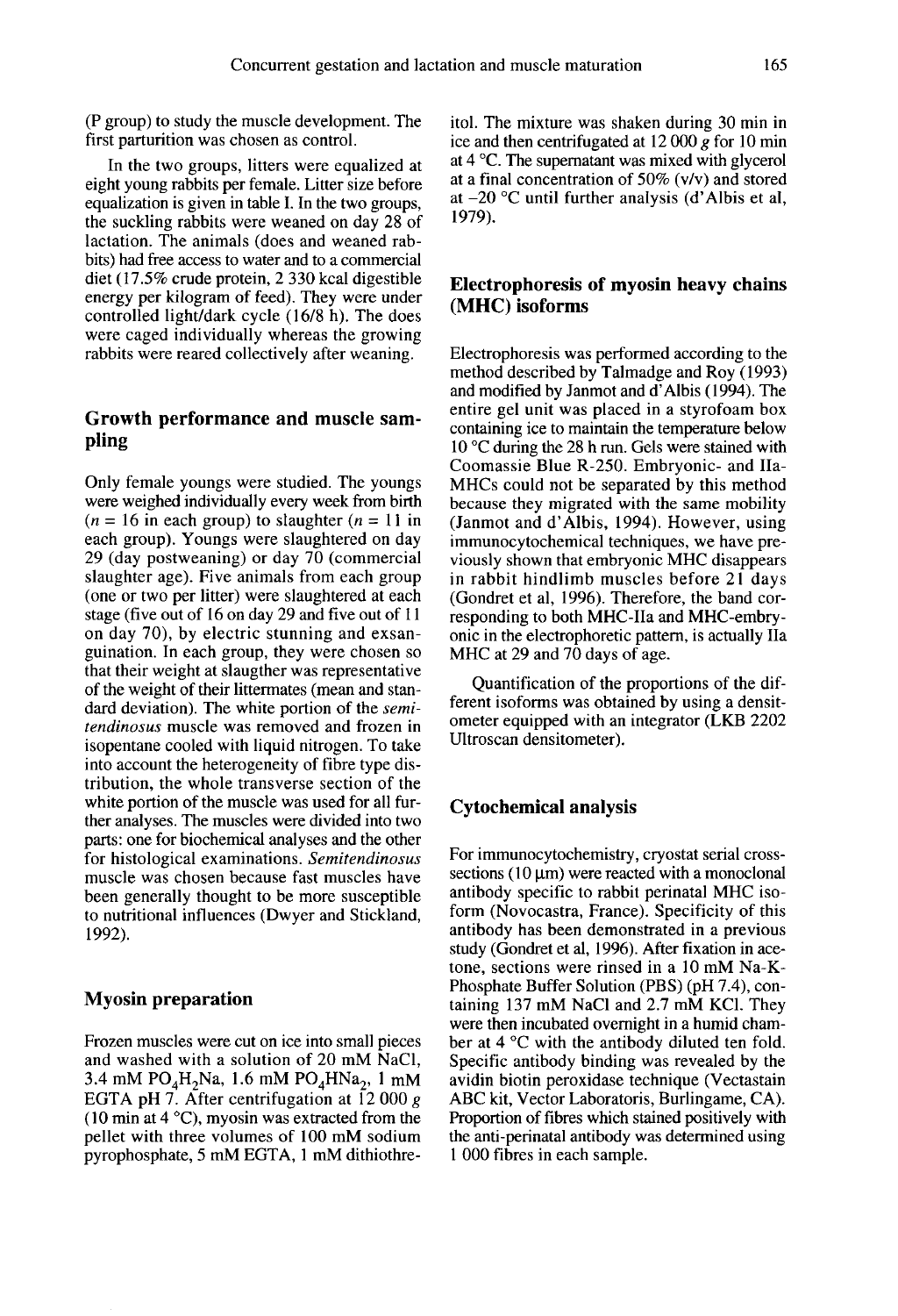(P group) to study the muscle development. The first parturition was chosen as control.

In the two groups, litters were equalized at eight young rabbits per female. Litter size before equalization is given in table I. In the two groups, the suckling rabbits were weaned on day 28 of lactation. The animals (does and weaned rabbits) had free access to water and to a commercial diet (17.5% crude protein, 2 330 kcal digestible energy per kilogram of feed). They were under controlled light/dark cycle (16/8 h). The does were caged individually whereas the growing rabbits were reared collectively after weaning.

## Growth performance and muscle sampling

Only female youngs were studied. The youngs were weighed individually every week from birth  $(n = 16$  in each group) to slaughter  $(n = 11$  in each group). Youngs were slaughtered on day 29 (day postweaning) or day 70 (commercial slaughter age). Five animals from each group (one or two per litter) were slaughtered at each stage (five out of 16 on day 29 and five out of 11 on day 70), by electric stunning and exsanguination. In each group, they were chosen so that their weight at slaugther was representative of the weight of their littermates (mean and standard deviation). The white portion of the semitendinosus muscle was removed and frozen in isopentane cooled with liquid nitrogen. To take into account the heterogeneity of fibre type distribution, the whole transverse section of the white portion of the muscle was used for all further analyses. The muscles were divided into two parts: one for biochemical analyses and the other for histological examinations. Semitendinosus muscle was chosen because fast muscles have been generally thought to be more susceptible to nutritional influences (Dwyer and Stickland, 1992).

#### Myosin preparation

Frozen muscles were cut on ice into small pieces and washed with a solution of 20 mM NaCI, **Myosin preparation**<br>Frozen muscles were cut on ice into small pieces<br>and washed with a solution of 20 mM NaCl,<br>3.4 mM PO<sub>4</sub>H<sub>2</sub>Na, 1.6 mM PO<sub>4</sub>HNa<sub>2</sub>, 1 mM<br>EGTA pH 7. After centrifugation at 12 000 g EGTA pH 7. After centrifugation at  $\overline{12}$  000 g (10 min at  $4^{\circ}$ C), myosin was extracted from the pellet with three volumes of 100 mM sodium pyrophosphate, 5 mM EGTA, 1 mM dithiothre-

itol. The mixture was shaken during 30 min in ice and then centrifugated at 12 000 g for 10 min<br>at 4 °C. The supernatant was mixed with glycerol at a final concentration of 50% (v/v) and stored at  $-20$  °C until further analysis (d'Albis et al, 1979).

## Electrophoresis of myosin heavy chains (MHC) isoforms

Electrophoresis was performed according to the method described by Talmadge and Roy (1993) and modified by Janmot and d'Albis (1994). The entire gel unit was placed in a styrofoam box containing ice to maintain the temperature below 10 °C during the 28 h run. Gels were stained with Coomassie Blue R-250. Embryonic- and IIa-MHCs could not be separated by this method because they migrated with the same mobility (Janmot and d'Albis, 1994). However, using immunocytochemical techniques, we have previously shown that embryonic MHC disappears in rabbit hindlimb muscles before 21 days (Gondret et al, 1996). Therefore, the band corresponding to both MHC-IIa and MHC-embryonic in the electrophoretic pattern, is actually Ila MHC at 29 and 70 days of age.

Quantification of the proportions of the different isoforms was obtained by using a densitometer equipped with an integrator (LKB 2202 Ultroscan densitometer).

## Cytochemical analysis

For immunocytochemistry, cryostat serial crosssections  $(10 \mu m)$  were reacted with a monoclonal antibody specific to rabbit perinatal MHC isoform (Novocastra, France). Specificity of this antibody has been demonstrated in a previous study (Gondret et al, 1996). After fixation in acetone, sections were rinsed in a 10 mM Na-K-Phosphate Buffer Solution (PBS) (pH 7.4), containing 137 mM NaCI and 2.7 mM KCI. They were then incubated overnight in a humid chamber at 4 °C with the antibody diluted ten fold. Specific antibody binding was revealed by the avidin biotin peroxidase technique (Vectastain ABC kit, Vector Laboratoris, Burlingame, CA). Proportion of fibres which stained positively with the anti-perinatal antibody was determined using 1 000 fibres in each sample.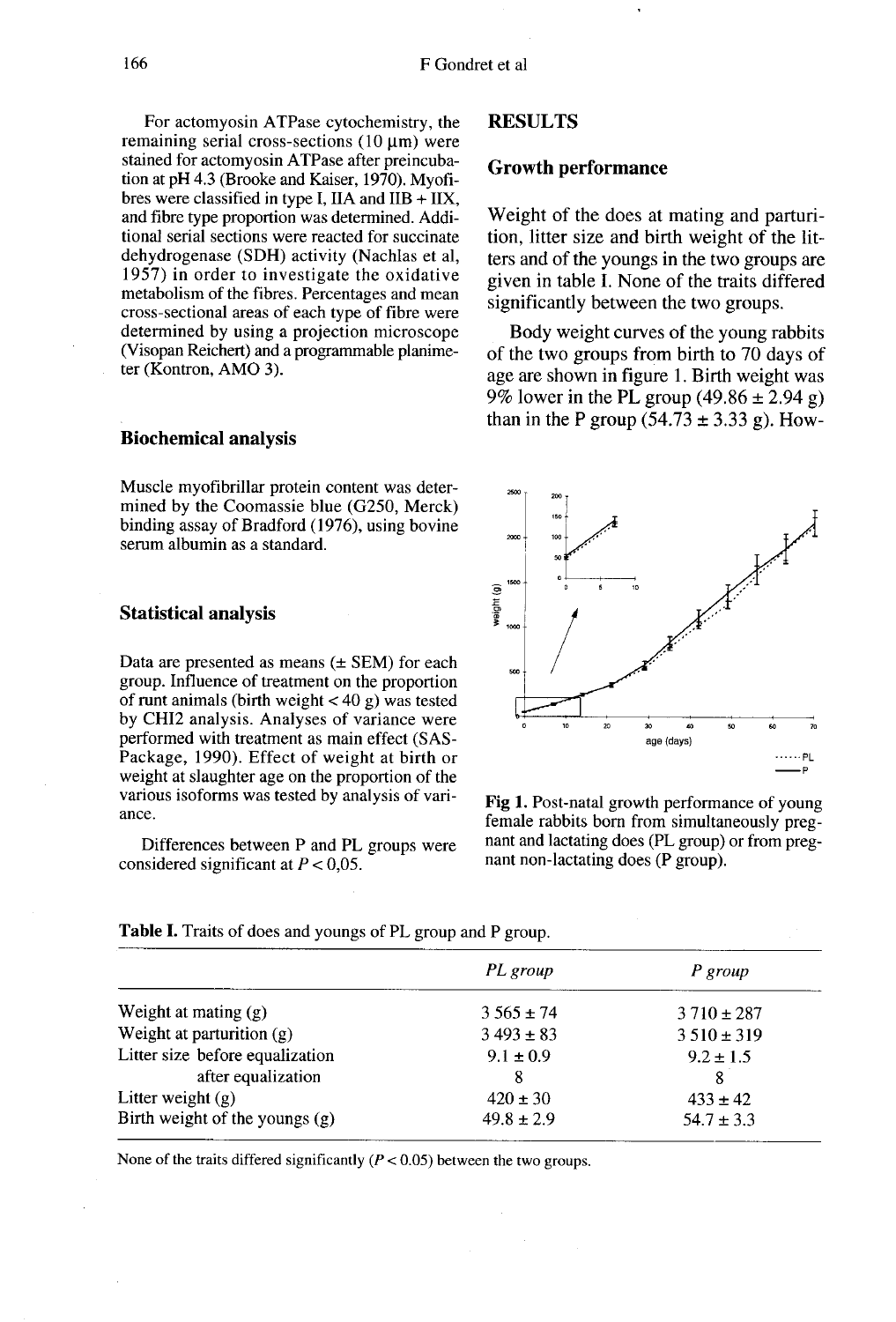For actomyosin ATPase cytochemistry, the remaining serial cross-sections  $(10 \text{ µm})$  were stained for actomyosin ATPase after preincuba tion at pH 4.3 (Brooke and Kaiser, 1970). Myofibres were classified in type I, IIA and  $IIB + IIX$ , and fibre type proportion was determined. Additional serial sections were reacted for succinate dehydrogenase (SDH) activity (Nachlas et al, 1957) in order to investigate the oxidative metabolism of the fibres. Percentages and mean cross-sectional areas of each type of fibre were determined by using a projection microscope (Visopan Reichert) and a programmable planime- ter (Kontron, AMO 3).

#### Biochemical analysis

Muscle myofibrillar protein content was determined by the Coomassie blue (G250, Merck) binding assay of Bradford (1976), using bovine serum albumin as a standard.

#### Statistical analysis

Data are presented as means  $(\pm$  SEM) for each group. Influence of treatment on the proportion of runt animals (birth weight  $<$  40 g) was tested by CHI2 analysis. Analyses of variance were performed with treatment as main effect (SAS-Package, 1990). Effect of weight at birth or weight at slaughter age on the proportion of the various isoforms was tested by analysis of variance.

Differences between P and PL groups were considered significant at  $P < 0.05$ .

#### RESULTS

#### Growth performance

Weight of the does at mating and parturition, litter size and birth weight of the litters and of the youngs in the two groups are given in table I. None of the traits differed significantly between the two groups.

Body weight curves of the young rabbits of the two groups from birth to 70 days of age are shown in figure 1. Birth weight was 9% lower in the PL group  $(49.86 \pm 2.94 \text{ g})$ than in the P group  $(54.73 \pm 3.33 \text{ g})$ . How-



Fig 1. Post-natal growth performance of young female rabbits born from simultaneously pregnant and lactating does (PL group) or from pregnant non-lactating does (P group).

|                                  | PL group       | P group        |
|----------------------------------|----------------|----------------|
| Weight at mating (g)             | $3.565 \pm 74$ | $3710 \pm 287$ |
| Weight at parturition $(g)$      | $3493 \pm 83$  | $3510 \pm 319$ |
| Litter size before equalization  | $9.1 \pm 0.9$  | $9.2 \pm 1.5$  |
| after equalization               | 8              | 8              |
| Litter weight $(g)$              | $420 \pm 30$   | $433 \pm 42$   |
| Birth weight of the youngs $(g)$ | $49.8 \pm 2.9$ | $54.7 \pm 3.3$ |

**Table I.** Traits of does and youngs of PL group and P group.

None of the traits differed significantly ( $P < 0.05$ ) between the two groups.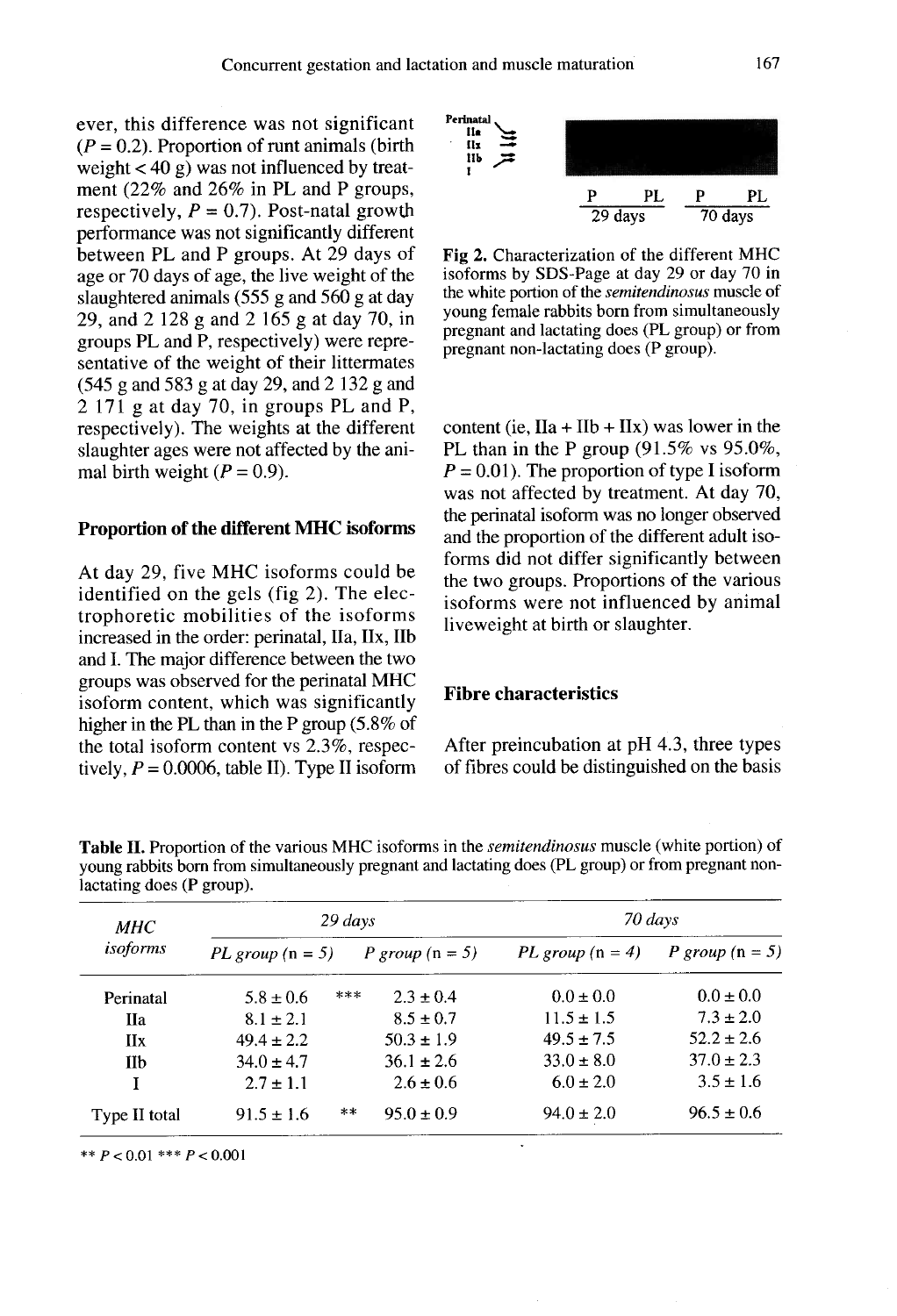ever, this difference was not significant  $(P = 0.2)$ . Proportion of runt animals (birth weight  $<$  40 g) was not influenced by treatment (22% and 26% in PL and P groups, respectively,  $P = 0.7$ ). Post-natal growth performance was not significantly different between PL and P groups. At 29 days of age or 70 days of age, the live weight of the slaughtered animals (555 g and 560 g at day 29, and 2 128 g and 2 165 g at day 70, in groups PL and P, respectively) were representative of the weight of their littermates (545 g and 583 g at day 29, and 2 132 g and 2 171 g at day 70, in groups PL and P, respectively). The weights at the different slaughter ages were not affected by the animal birth weight  $(P = 0.9)$ .

#### Proportion of the different MHC isoforms

At day 29, five MHC isoforms could be identified on the gels (fig 2). The electrophoretic mobilities of the isoforms increased in the order: perinatal, Ila, IIx, IIb and I. The major difference between the two groups was observed for the perinatal MHC isoform content, which was significantly higher in the PL than in the P group (5.8% of the total isoform content vs 2.3%, respectively,  $P = 0.0006$ , table II). Type II isoform



Fig. 2. Characterization of the different MHC isoforms by SDS-Page at day 29 or day 70 in the white portion of the semitendinosus muscle of young female rabbits born from simultaneously pregnant and lactating does (PL group) or from pregnant non-lactating does (P group).

content (ie,  $IIA + IIb + IIX$ ) was lower in the PL than in the P group (91.5% vs 95.0%,  $P = 0.01$ . The proportion of type I isoform was not affected by treatment. At day 70, the perinatal isoform was no longer observed and the proportion of the different adult isoforms did not differ significantly between the two groups. Proportions of the various isoforms were not influenced by animal liveweight at birth or slaughter.

#### Fibre characteristics

After preincubation at pH 4.3, three types of fibres could be distinguished on the basis

| MНC<br>isoforms | $29 \, days$       |                      | 70 days            |                   |
|-----------------|--------------------|----------------------|--------------------|-------------------|
|                 | $PL$ group (n = 5) | P group $(n = 5)$    | PL group $(n = 4)$ | P group $(n = 5)$ |
| Perinatal       | $5.8 \pm 0.6$      | ***<br>$2.3 \pm 0.4$ | $0.0 \pm 0.0$      | $0.0 \pm 0.0$     |
| <b>IIa</b>      | $8.1 \pm 2.1$      | $8.5 \pm 0.7$        | $11.5 \pm 1.5$     | $7.3 \pm 2.0$     |
| IIx             | $49.4 \pm 2.2$     | $50.3 \pm 1.9$       | $49.5 \pm 7.5$     | $52.2 \pm 2.6$    |
| IIb             | $34.0 \pm 4.7$     | $36.1 \pm 2.6$       | $33.0 \pm 8.0$     | $37.0 \pm 2.3$    |
| I               | $2.7 \pm 1.1$      | $2.6 \pm 0.6$        | $6.0 \pm 2.0$      | $3.5 \pm 1.6$     |
| Type II total   | $91.5 \pm 1.6$     | **<br>$95.0 \pm 0.9$ | $94.0 \pm 2.0$     | $96.5 \pm 0.6$    |

Table II. Proportion of the various MHC isoforms in the *semitendinosus* muscle (white portion) of young rabbits born from simultaneously pregnant and lactating does (PL group) or from pregnant nonlactating does (P group).

\*\*  $P < 0.01$  \*\*\*  $P < 0.001$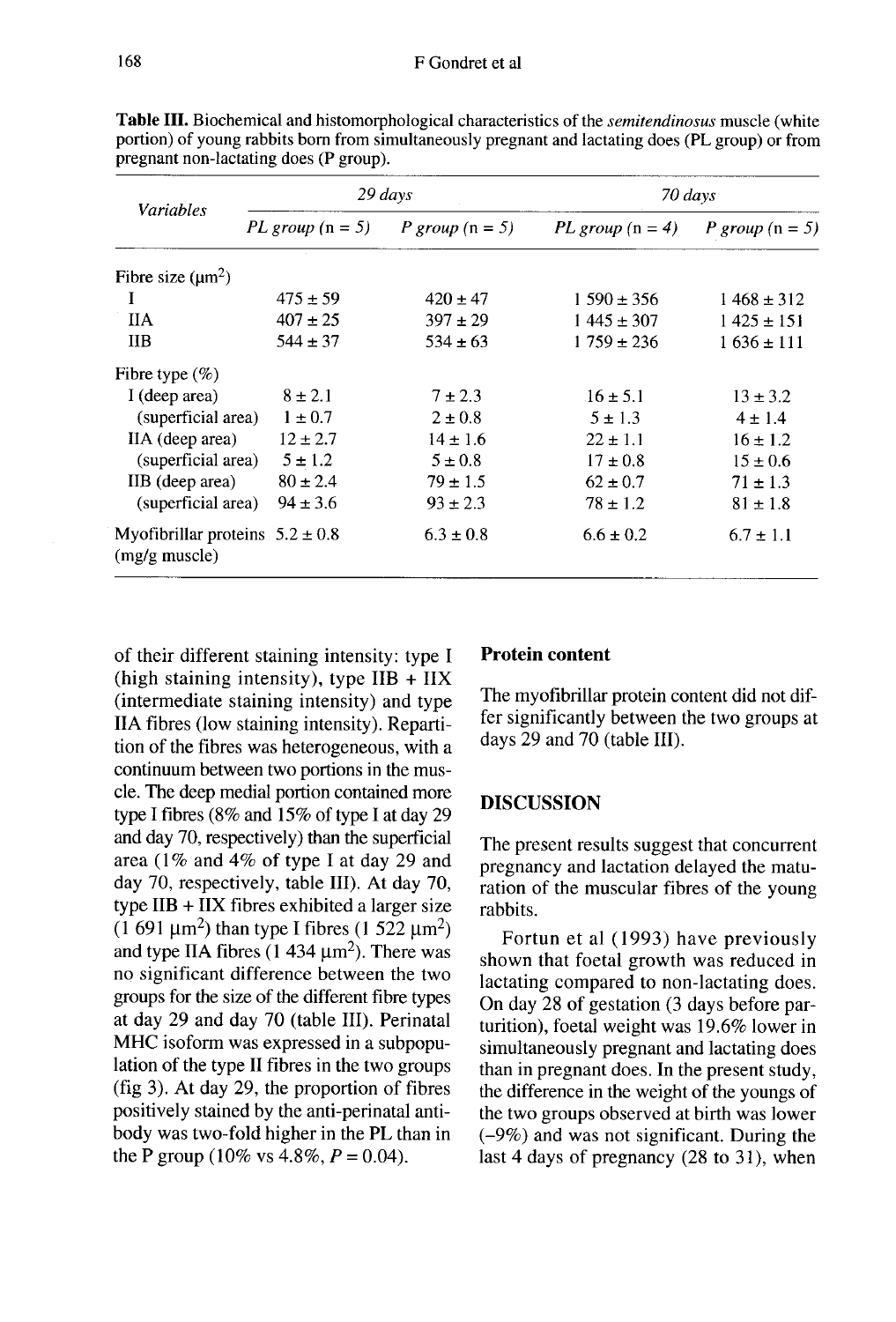| Variables                                                      |                    | 29 days           |                    | 70 days           |  |
|----------------------------------------------------------------|--------------------|-------------------|--------------------|-------------------|--|
|                                                                | PL group $(n = 5)$ | P group $(n = 5)$ | PL group $(n = 4)$ | P group $(n = 5)$ |  |
| Fibre size $(\mu m^2)$                                         |                    |                   |                    |                   |  |
|                                                                | $475 \pm 59$       | $420 \pm 47$      | $1590 \pm 356$     | $1468 \pm 312$    |  |
| <b>IIA</b>                                                     | $407 \pm 25$       | $397 \pm 29$      | $1445 \pm 307$     | $1425 \pm 151$    |  |
| ПB                                                             | $544 \pm 37$       | $534 \pm 63$      | $1759 \pm 236$     | $1636 \pm 111$    |  |
| Fibre type $(\% )$                                             |                    |                   |                    |                   |  |
| I (deep area)                                                  | $8 \pm 2.1$        | $7 \pm 2.3$       | $16 \pm 5.1$       | $13 \pm 3.2$      |  |
| (superficial area)                                             | $1 \pm 0.7$        | $2 \pm 0.8$       | $5 \pm 1.3$        | $4 \pm 1.4$       |  |
| IIA (deep area)                                                | $12 \pm 2.7$       | $14 \pm 1.6$      | $22 \pm 1.1$       | $16 \pm 1.2$      |  |
| (superficial area)                                             | $5 \pm 1.2$        | $5 \pm 0.8$       | $17 \pm 0.8$       | $15 \pm 0.6$      |  |
| IIB (deep area)                                                | $80 \pm 2.4$       | $79 \pm 1.5$      | $62 \pm 0.7$       | $71 \pm 1.3$      |  |
| (superficial area)                                             | $94 \pm 3.6$       | $93 \pm 2.3$      | $78 \pm 1.2$       | $81 \pm 1.8$      |  |
| Myofibrillar proteins $5.2 \pm 0.8$<br>$(mg/g \text{ muscle})$ |                    | $6.3 \pm 0.8$     | $6.6 \pm 0.2$      | $6.7 \pm 1.1$     |  |

Table III. Biochemical and histomorphological characteristics of the *semitendinosus* muscle (white portion) of young rabbits born from simultaneously pregnant and lactating does (PL group) or from pregnant non-lactating does (P group).

of their different staining intensity: type I (high staining intensity), type  $IIB + IIX$ (intermediate staining intensity) and type IIA fibres (low staining intensity). Repartition of the fibres was heterogeneous, with a continuum between two portions in the muscle. The deep medial portion contained more type I fibres (8% and 15% of type I at day 29 and day 70, respectively) than the superficial area (1% and 4% of type I at day 29 and day 70, respectively, table III). At day 70, type  $IIB + IIX$  fibres exhibited a larger size type I fibres (8% and 15% of type I at day 29<br>and day 70, respectively) than the superficial<br>area (1% and 4% of type I at day 29 and<br>day 70, respectively, table III). At day 70,<br>type IIB + IIX fibres exhibited a larger si no significant difference between the two groups for the size of the different fibre types at day 29 and day 70 (table III). Perinatal MHC isoform was expressed in a subpopulation of the type II fibres in the two groups (fig 3). At day 29, the proportion of fibres positively stained by the anti-perinatal antibody was two-fold higher in the PL than in the P group (10% vs  $4.8\%$ ,  $P = 0.04$ ).

#### Protein content

The myofibrillar protein content did not differ significantly between the two groups at days 29 and 70 (table III).

#### **DISCUSSION**

The present results suggest that concurrent pregnancy and lactation delayed the maturation of the muscular fibres of the young rabbits.

Fortun et al (1993) have previously shown that foetal growth was reduced in lactating compared to non-lactating does. On day 28 of gestation (3 days before parturition), foetal weight was 19.6% lower in simultaneously pregnant and lactating does than in pregnant does. In the present study, the difference in the weight of the youngs of the two groups observed at birth was lower (-9%) and was not significant. During the last 4 days of pregnancy (28 to 31), when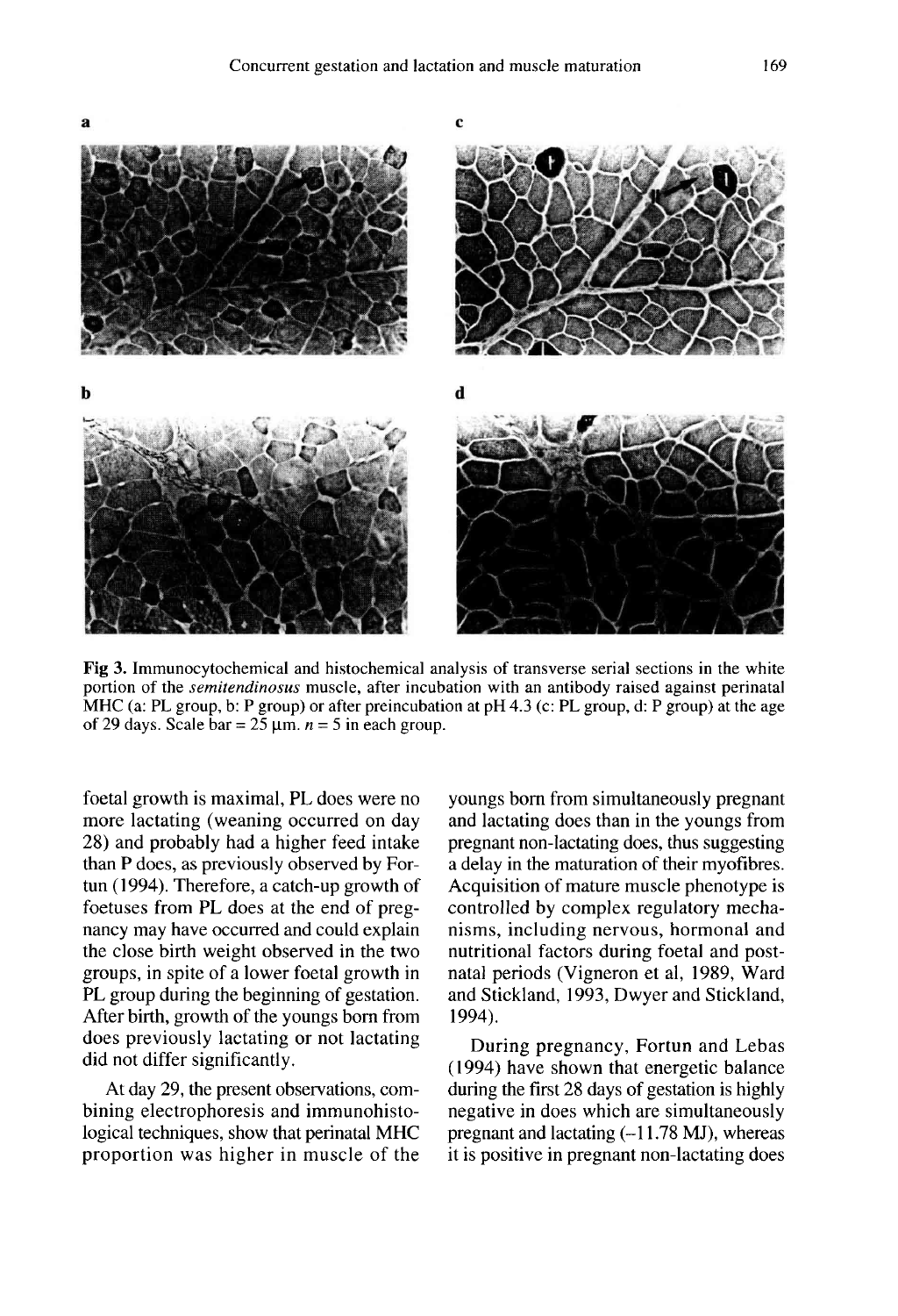$\mathbf c$ 





Fig 3. Immunocytochemical and histochemical analysis of transverse serial sections in the white portion of the *semitendinosus* muscle, after incubation with an antibody raised against perinatal MHC (a: PL group, b: P group) or after preincubation at pH 4.3 (c: PL group, d: P group) at the age of 29 days. Scale bar =  $25 \mu m$ .  $n = 5$  in each group.

foetal growth is maximal, PL does were no more lactating (weaning occurred on day 28) and probably had a higher feed intake than P does, as previously observed by Fortun (1994). Therefore, a catch-up growth of foetuses from PL does at the end of pregnancy may have occurred and could explain the close birth weight observed in the two groups, in spite of a lower foetal growth in PL group during the beginning of gestation. After birth, growth of the youngs born from does previously lactating or not lactating did not differ significantly.

 $\mathbf{a}$ 

At day 29, the present observations, combining electrophoresis and immunohistological techniques, show that perinatal MHC proportion was higher in muscle of the youngs bom from simultaneously pregnant and lactating does than in the youngs from pregnant non-lactating does, thus suggesting a delay in the maturation of their myofibres. Acquisition of mature muscle phenotype is controlled by complex regulatory mechanisms, including nervous, hormonal and nutritional factors during foetal and postnatal periods (Vigneron et al, 1989, Ward and Stickland, 1993, Dwyer and Stickland, 1994).

During pregnancy, Fortun and Lebas (1994) have shown that energetic balance during the first 28 days of gestation is highly negative in does which are simultaneously pregnant and lactating  $(-11.78 \text{ MJ})$ , whereas it is positive in pregnant non-lactating does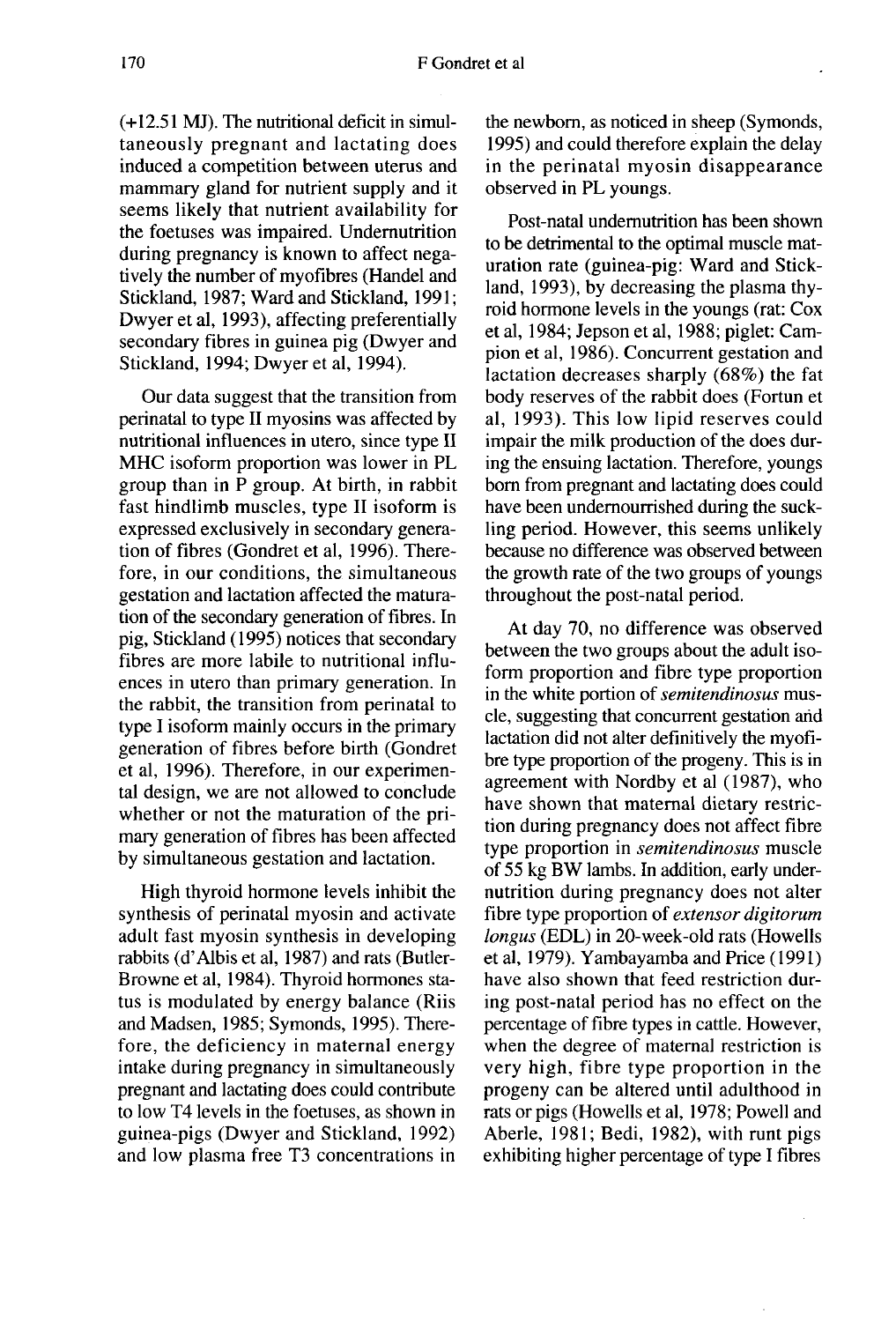(+12.51 MJ). The nutritional deficit in simultaneously pregnant and lactating does induced a competition between uterus and mammary gland for nutrient supply and it seems likely that nutrient availability for the foetuses was impaired. Undernutrition during pregnancy is known to affect negatively the number of myofibres (Handel and Stickland, 1987; Ward and Stickland, 1991; Dwyer et al, 1993), affecting preferentially secondary fibres in guinea pig (Dwyer and Stickland, 1994; Dwyer et al, 1994).

Our data suggest that the transition from perinatal to type II myosins was affected by nutritional influences in utero, since type II MHC isoform proportion was lower in PL group than in P group. At birth, in rabbit fast hindlimb muscles, type II isoform is expressed exclusively in secondary generation of fibres (Gondret et al, 1996). Therefore, in our conditions, the simultaneous gestation and lactation affected the maturation of the secondary generation of fibres. In pig, Stickland (1995) notices that secondary fibres are more labile to nutritional influences in utero than primary generation. In the rabbit, the transition from perinatal to type I isoform mainly occurs in the primary generation of fibres before birth (Gondret et al, 1996). Therefore, in our experimental design, we are not allowed to conclude whether or not the maturation of the primary generation of fibres has been affected by simultaneous gestation and lactation.

High thyroid hormone levels inhibit the synthesis of perinatal myosin and activate adult fast myosin synthesis in developing rabbits (d'Albis et al, 1987) and rats (Butler-Browne et al, 1984). Thyroid hormones status is modulated by energy balance (Riis and Madsen, 1985; Symonds, 1995). Therefore, the deficiency in maternal energy intake during pregnancy in simultaneously pregnant and lactating does could contribute to low T4 levels in the foetuses, as shown in guinea-pigs (Dwyer and Stickland, 1992) and low plasma free T3 concentrations in

the newborn, as noticed in sheep (Symonds, 1995) and could therefore explain the delay in the perinatal myosin disappearance observed in PL youngs.

Post-natal undernutrition has been shown to be detrimental to the optimal muscle maturation rate (guinea-pig: Ward and Stickland, 1993), by decreasing the plasma thyroid hormone levels in the youngs (rat: Cox et al, 1984; Jepson et al, 1988; piglet: Campion et al, 1986). Concurrent gestation and lactation decreases sharply (68%) the fat body reserves of the rabbit does (Fortun et al, 1993). This low lipid reserves could impair the milk production of the does during the ensuing lactation. Therefore, youngs born from pregnant and lactating does could have been undernourrished during the suckling period. However, this seems unlikely because no difference was observed between the growth rate of the two groups of youngs throughout the post-natal period.

At day 70, no difference was observed between the two groups about the adult isoform proportion and fibre type proportion in the white portion of semitendinosus muscle, suggesting that concurrent gestation and lactation did not alter definitively the myofibre type proportion of the progeny. This is in agreement with Nordby et al (1987), who have shown that maternal dietary restriction during pregnancy does not affect fibre type proportion in semitendinosus muscle of 55 kg BW lambs. In addition, early undernutrition during pregnancy does not alter fibre type proportion of extensor digitorum longus (EDL) in 20-week-old rats (Howells et al, 1979). Yambayamba and Price (1991) have also shown that feed restriction during post-natal period has no effect on the percentage of fibre types in cattle. However, when the degree of maternal restriction is very high, fibre type proportion in the progeny can be altered until adulthood in rats or pigs (Howells et al, 1978; Powell and Aberle, 1981; Bedi, 1982), with runt pigs exhibiting higher percentage of type I fibres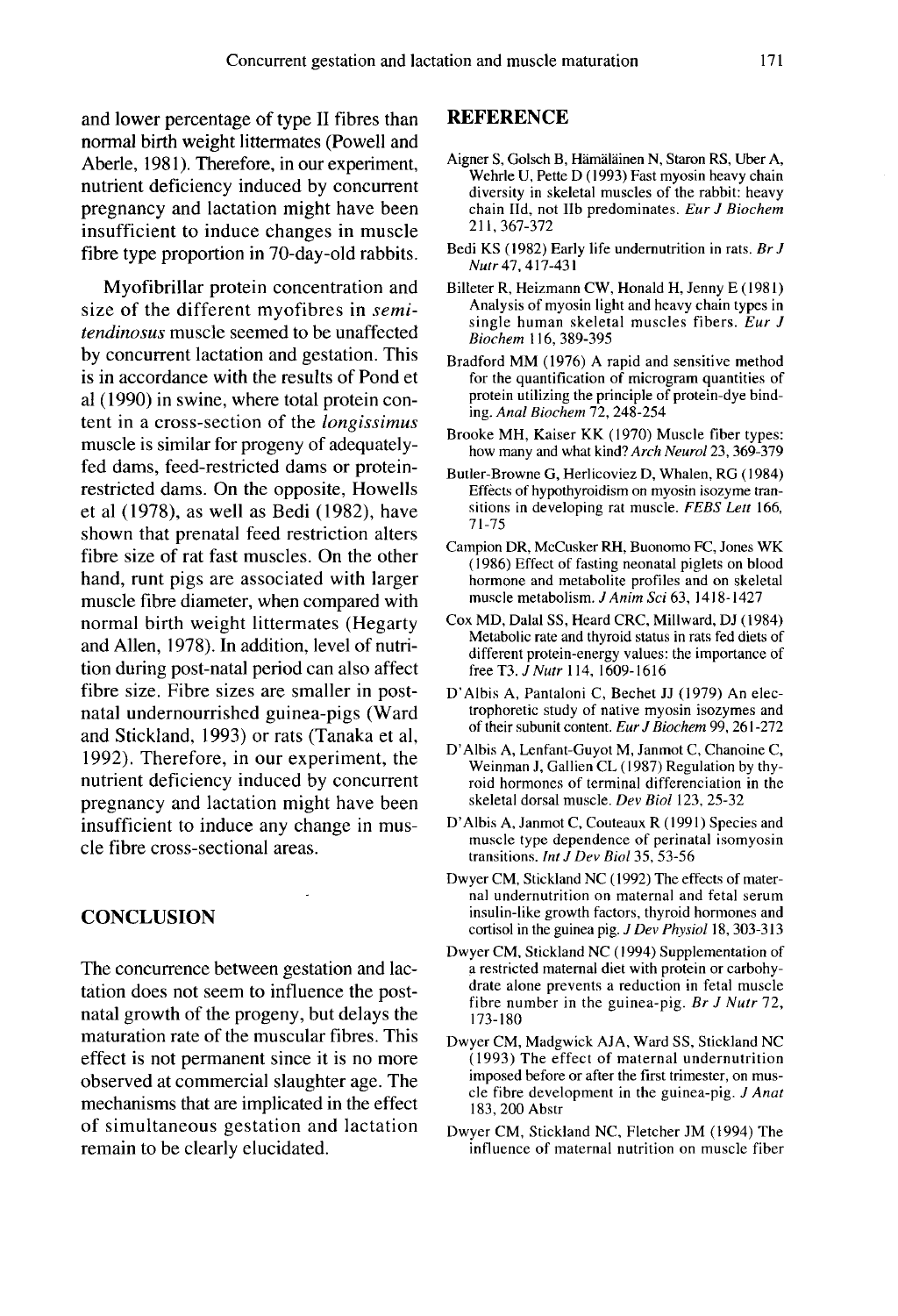and lower percentage of type II fibres than normal birth weight littermates (Powell and Aberle, 1981). Therefore, in our experiment, nutrient deficiency induced by concurrent pregnancy and lactation might have been insufficient to induce changes in muscle fibre type proportion in 70-day-old rabbits.

Myofibrillar protein concentration and size of the different myofibres in *semi*tendinosus muscle seemed to be unaffected by concurrent lactation and gestation. This is in accordance with the results of Pond et al (1990) in swine, where total protein content in a cross-section of the longissimus muscle is similar for progeny of adequatelyfed dams, feed-restricted dams or proteinrestricted dams. On the opposite, Howells et al (1978), as well as Bedi (1982), have shown that prenatal feed restriction alters fibre size of rat fast muscles. On the other hand, runt pigs are associated with larger muscle fibre diameter, when compared with normal birth weight littermates (Hegarty and Allen, 1978). In addition, level of nutrition during post-natal period can also affect fibre size. Fibre sizes are smaller in postnatal undernourrished guinea-pigs (Ward and Stickland, 1993) or rats (Tanaka et al, 1992). Therefore, in our experiment, the nutrient deficiency induced by concurrent pregnancy and lactation might have been insufficient to induce any change in muscle fibre cross-sectional areas.

## **CONCLUSION**

The concurrence between gestation and lactation does not seem to influence the postnatal growth of the progeny, but delays the maturation rate of the muscular fibres. This effect is not permanent since it is no more observed at commercial slaughter age. The mechanisms that are implicated in the effect of simultaneous gestation and lactation remain to be clearly elucidated.

#### **REFERENCE**

- Aigner S, Golsch B, Hamalainen N, Staron RS, Uber A, Wehrle U, Pette D ( 1993) Fast myosin heavy chain diversity in skeletal muscles of the rabbit: heavy chain Hd, not lib predominates. Eur J Biochem 211,367-372
- Bedi KS (1982) Early life undernutrition in rats. Br J Nutr 47, 417-431
- Billeter R, Heizmann CW, Honald H, Jenny E ( 1981) Analysis of myosin light and heavy chain types in single human skeletal muscles fibers.  $\overline{E}$ ur J Biochem 116, 389-395
- Bradford MM (1976) A rapid and sensitive method for the quantification of microgram quantities of protein utilizing the principle of protein-dye binding. Anal Biochem 72, 248-254
- Brooke MH, Kaiser KK (1970) Muscle fiber types: how many and what kind? Arch Neurol 23, 369-379
- Butler-Browne G, Herlicoviez D, Whalen, RG (1984) Effects of hypothyroidism on myosin isozyme transitions in developing rat muscle. FEBS Lett 166, 71-75
- Campion DR, McCusker RH, Buonomo FC, Jones WK (1986) Effect of fasting neonatal piglets on blood hormone and metabolite profiles and on skeletal muscle metabolism. J Anim Sci 63, 1418-1427
- Cox MD, Dalal SS, Heard CRC, Millward, DJ (1984) Metabolic rate and thyroid status in rats fed diets of different protein-energy values: the importance of free T3.  $J$  Nutr 114, 1609-1616
- D'Albis A, Pantaloni C, Bechet JJ (1979) An electrophoretic study of native myosin isozymes and of their subunit content. Eur J Biochem 99, 261-272
- D'Albis A, Lenfant-Guyot M, Janmot C, Chanoine C, Weinman J, Gallien CL (1987) Regulation by thyroid hormones of terminal differenciation in the skeletal dorsal muscle. Dev Biol 123, 25-32
- D'Albis A, Janmot C, Couteaux R (1991) Species and muscle type dependence of perinatal isomyosin transitions. Int J Dev Biol 35, 53-56
- Dwyer CM, Stickland NC (1992) The effects of maternal undernutrition on maternal and fetal serum insulin-like growth factors, thyroid hormones and cortisol in the guinea pig. J Dev Physiol 18, 303-313
- Dwyer CM, Stickland NC (1994) Supplementation of a restricted maternal diet with protein or carbohy drate alone prevents a reduction in fetal muscle fibre number in the guinea-pig. Br J Nutr 72, 173-180
- Dwyer CM, Madgwick AJA, Ward SS, Stickland NC (1993) The effect of maternal undernutrition imposed before or after the first trimester, on muscle fibre development in the guinea-pig. J Anat 183, 200 Abstr
- Dwyer CM, Stickland NC, Fletcher JM (1994) The influence of maternal nutrition on muscle fiber